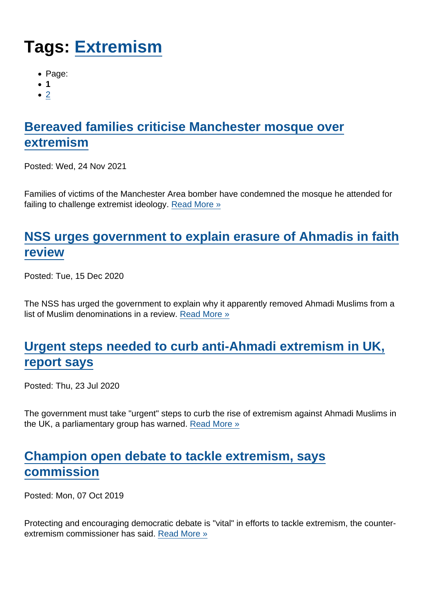# Tags: [Extremism](https://www.secularism.org.uk/news/tags/Extremism)

- Page:
- 1
- $\bullet$  [2](/mnt/web-data/www/cp-nss/news/tags/Extremism)

# [Bereaved families criticise Manchester mosque over](https://www.secularism.org.uk/news/2021/11/bereaved-families-criticise-manchester-mosque-over-extremism) [extremism](https://www.secularism.org.uk/news/2021/11/bereaved-families-criticise-manchester-mosque-over-extremism)

Posted: Wed, 24 Nov 2021

Families of victims of the Manchester Area bomber have condemned the mosque he attended for failing to challenge extremist ideology. [Read More »](https://www.secularism.org.uk/news/2021/11/bereaved-families-criticise-manchester-mosque-over-extremism)

#### [NSS urges government to explain erasure of Ahmadis in faith](https://www.secularism.org.uk/news/2020/12/nss-urges-government-to-explain-erasure-of-ahmadis-in-faith-review) [review](https://www.secularism.org.uk/news/2020/12/nss-urges-government-to-explain-erasure-of-ahmadis-in-faith-review)

Posted: Tue, 15 Dec 2020

The NSS has urged the government to explain why it apparently removed Ahmadi Muslims from a list of Muslim denominations in a review. [Read More »](https://www.secularism.org.uk/news/2020/12/nss-urges-government-to-explain-erasure-of-ahmadis-in-faith-review)

## [Urgent steps needed to curb anti-Ahmadi extremism in UK,](https://www.secularism.org.uk/news/2020/07/urgent-steps-needed-to-curb-anti-ahmadi-extremism-in-uk-report-says) [report says](https://www.secularism.org.uk/news/2020/07/urgent-steps-needed-to-curb-anti-ahmadi-extremism-in-uk-report-says)

Posted: Thu, 23 Jul 2020

The government must take "urgent" steps to curb the rise of extremism against Ahmadi Muslims in the UK, a parliamentary group has warned. [Read More »](https://www.secularism.org.uk/news/2020/07/urgent-steps-needed-to-curb-anti-ahmadi-extremism-in-uk-report-says)

## [Champion open debate to tackle extremism, says](https://www.secularism.org.uk/news/2019/10/champion-open-debate-to-tackle-extremism-says-commission) [commission](https://www.secularism.org.uk/news/2019/10/champion-open-debate-to-tackle-extremism-says-commission)

Posted: Mon, 07 Oct 2019

Protecting and encouraging democratic debate is "vital" in efforts to tackle extremism, the counterextremism commissioner has said. [Read More »](https://www.secularism.org.uk/news/2019/10/champion-open-debate-to-tackle-extremism-says-commission)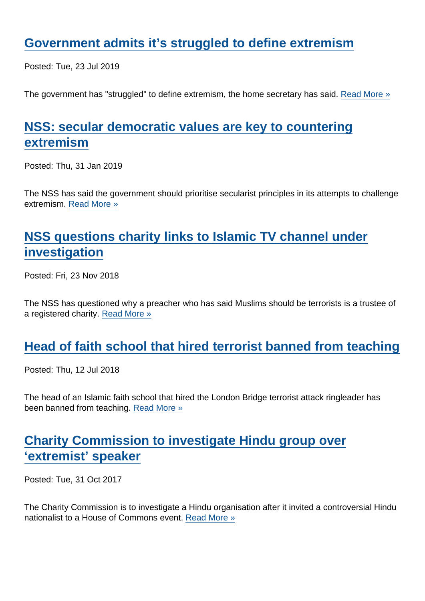#### [Government admits it's struggled to define extremism](https://www.secularism.org.uk/news/2019/07/government-admits-its-struggled-to-define-extremism)

Posted: Tue, 23 Jul 2019

The government has "struggled" to define extremism, the home secretary has said. [Read More »](https://www.secularism.org.uk/news/2019/07/government-admits-its-struggled-to-define-extremism)

# [NSS: secular democratic values are key to countering](https://www.secularism.org.uk/news/2019/01/nss-secular-democratic-values-are-key-to-countering-extremism) [extremism](https://www.secularism.org.uk/news/2019/01/nss-secular-democratic-values-are-key-to-countering-extremism)

Posted: Thu, 31 Jan 2019

The NSS has said the government should prioritise secularist principles in its attempts to challenge extremism. [Read More »](https://www.secularism.org.uk/news/2019/01/nss-secular-democratic-values-are-key-to-countering-extremism)

# [NSS questions charity links to Islamic TV channel under](https://www.secularism.org.uk/news/2018/11/nss-questions-charity-links-to-islamic-tv-channel-under-investigation) [investigation](https://www.secularism.org.uk/news/2018/11/nss-questions-charity-links-to-islamic-tv-channel-under-investigation)

Posted: Fri, 23 Nov 2018

The NSS has questioned why a preacher who has said Muslims should be terrorists is a trustee of a registered charity. [Read More »](https://www.secularism.org.uk/news/2018/11/nss-questions-charity-links-to-islamic-tv-channel-under-investigation)

#### [Head of faith school that hired terrorist banned from teaching](https://www.secularism.org.uk/news/2018/07/head-of-faith-school-that-hired-terrorist-banned-from-teaching)

Posted: Thu, 12 Jul 2018

The head of an Islamic faith school that hired the London Bridge terrorist attack ringleader has been banned from teaching. [Read More »](https://www.secularism.org.uk/news/2018/07/head-of-faith-school-that-hired-terrorist-banned-from-teaching)

## [Charity Commission to investigate Hindu group over](https://www.secularism.org.uk/news/2017/10/commission-to-investigate-hindu-charity-over-extremist-speaker) ['extremist' speaker](https://www.secularism.org.uk/news/2017/10/commission-to-investigate-hindu-charity-over-extremist-speaker)

Posted: Tue, 31 Oct 2017

The Charity Commission is to investigate a Hindu organisation after it invited a controversial Hindu nationalist to a House of Commons event. [Read More »](https://www.secularism.org.uk/news/2017/10/commission-to-investigate-hindu-charity-over-extremist-speaker)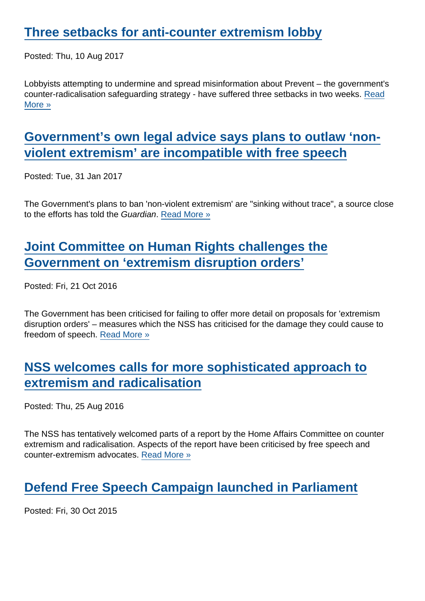Posted: Thu, 10 Aug 2017

Lobbyists attempting to undermine and spread misinformation about Prevent – the government's counter-radicalisation safeguarding strategy - have suffered three setbacks in two weeks. [Read](https://www.secularism.org.uk/news/2017/08/three-setbacks-for-anti-counter-extremism-lobby) [More »](https://www.secularism.org.uk/news/2017/08/three-setbacks-for-anti-counter-extremism-lobby)

## [Government's own legal advice says plans to outlaw 'non](https://www.secularism.org.uk/news/2017/01/governments-own-legal-advice-says-plans-to-outlaw-non-violent-extremism-are-incompatible-with-free-speech)[violent extremism' are incompatible with free speech](https://www.secularism.org.uk/news/2017/01/governments-own-legal-advice-says-plans-to-outlaw-non-violent-extremism-are-incompatible-with-free-speech)

Posted: Tue, 31 Jan 2017

The Government's plans to ban 'non-violent extremism' are "sinking without trace", a source close to the efforts has told the Guardian. [Read More »](https://www.secularism.org.uk/news/2017/01/governments-own-legal-advice-says-plans-to-outlaw-non-violent-extremism-are-incompatible-with-free-speech)

## [Joint Committee on Human Rights challenges the](https://www.secularism.org.uk/news/2016/10/joint-committee-on-human-rights-challenges-the-government-on-extremism-disruption-orders) [Government on 'extremism disruption orders'](https://www.secularism.org.uk/news/2016/10/joint-committee-on-human-rights-challenges-the-government-on-extremism-disruption-orders)

Posted: Fri, 21 Oct 2016

The Government has been criticised for failing to offer more detail on proposals for 'extremism disruption orders' – measures which the NSS has criticised for the damage they could cause to freedom of speech. [Read More »](https://www.secularism.org.uk/news/2016/10/joint-committee-on-human-rights-challenges-the-government-on-extremism-disruption-orders)

#### [NSS welcomes calls for more sophisticated approach to](https://www.secularism.org.uk/news/2016/08/nss-welcomes-calls-for-more-sophisticated-approach-to-extremism-and-radicalisation-but-points-to-freedom-of-expression-concerns) [extremism and radicalisation](https://www.secularism.org.uk/news/2016/08/nss-welcomes-calls-for-more-sophisticated-approach-to-extremism-and-radicalisation-but-points-to-freedom-of-expression-concerns)

Posted: Thu, 25 Aug 2016

The NSS has tentatively welcomed parts of a report by the Home Affairs Committee on counter extremism and radicalisation. Aspects of the report have been criticised by free speech and counter-extremism advocates. [Read More »](https://www.secularism.org.uk/news/2016/08/nss-welcomes-calls-for-more-sophisticated-approach-to-extremism-and-radicalisation-but-points-to-freedom-of-expression-concerns)

# [Defend Free Speech Campaign launched in Parliament](https://www.secularism.org.uk/news/2015/10/defend-free-speech-campaign-launched-in-parliament)

Posted: Fri, 30 Oct 2015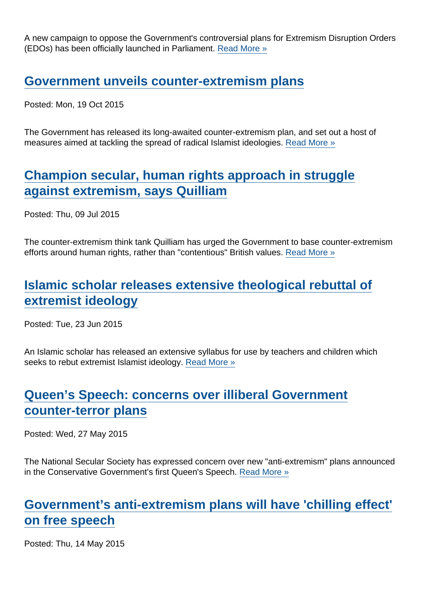A new campaign to oppose the Government's controversial plans for Extremism Disruption Orders (EDOs) has been officially launched in Parliament. [Read More »](https://www.secularism.org.uk/news/2015/10/defend-free-speech-campaign-launched-in-parliament)

#### [Government unveils counter-extremism plans](https://www.secularism.org.uk/news/2015/10/government-unveils-counter-extremism-plans)

Posted: Mon, 19 Oct 2015

The Government has released its long-awaited counter-extremism plan, and set out a host of measures aimed at tackling the spread of radical Islamist ideologies. [Read More »](https://www.secularism.org.uk/news/2015/10/government-unveils-counter-extremism-plans)

#### [Champion secular, human rights approach in struggle](https://www.secularism.org.uk/news/2015/07/champion-secular-human-rights-approach-in-struggle-against-extremism-says-quilliam) [against extremism, says Quilliam](https://www.secularism.org.uk/news/2015/07/champion-secular-human-rights-approach-in-struggle-against-extremism-says-quilliam)

Posted: Thu, 09 Jul 2015

The counter-extremism think tank Quilliam has urged the Government to base counter-extremism efforts around human rights, rather than "contentious" British values. [Read More »](https://www.secularism.org.uk/news/2015/07/champion-secular-human-rights-approach-in-struggle-against-extremism-says-quilliam)

# [Islamic scholar releases extensive theological rebuttal of](https://www.secularism.org.uk/news/2015/06/islamic-scholar-releases-extensive-theological-rebuttal-of-extremist-ideology) [extremist ideology](https://www.secularism.org.uk/news/2015/06/islamic-scholar-releases-extensive-theological-rebuttal-of-extremist-ideology)

Posted: Tue, 23 Jun 2015

An Islamic scholar has released an extensive syllabus for use by teachers and children which seeks to rebut extremist Islamist ideology. [Read More »](https://www.secularism.org.uk/news/2015/06/islamic-scholar-releases-extensive-theological-rebuttal-of-extremist-ideology)

# [Queen's Speech: concerns over illiberal Government](https://www.secularism.org.uk/news/2015/05/queens-speech--concerns-over-illiberal-government-counter-terror-plans) [counter-terror plans](https://www.secularism.org.uk/news/2015/05/queens-speech--concerns-over-illiberal-government-counter-terror-plans)

Posted: Wed, 27 May 2015

The National Secular Society has expressed concern over new "anti-extremism" plans announced in the Conservative Government's first Queen's Speech. [Read More »](https://www.secularism.org.uk/news/2015/05/queens-speech--concerns-over-illiberal-government-counter-terror-plans)

# [Government's anti-extremism plans will have 'chilling effect'](https://www.secularism.org.uk/news/2015/05/national-secular-society-concerned-by-content-of-governments-anti-extremism-plans) [on free speech](https://www.secularism.org.uk/news/2015/05/national-secular-society-concerned-by-content-of-governments-anti-extremism-plans)

Posted: Thu, 14 May 2015